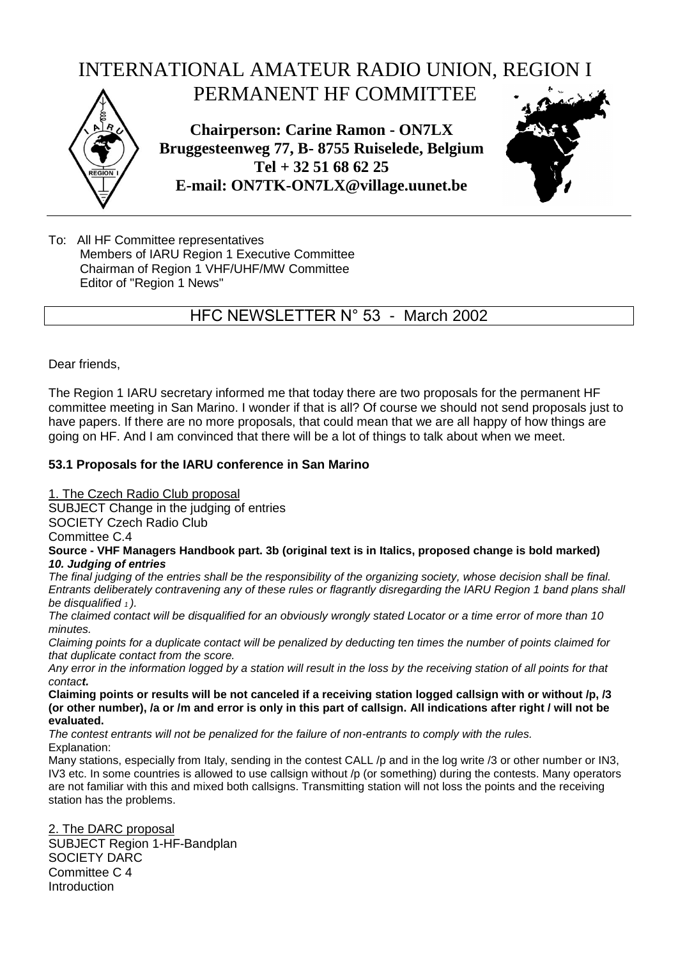

To: All HF Committee representatives Members of IARU Region 1 Executive Committee Chairman of Region 1 VHF/UHF/MW Committee Editor of "Region 1 News"

HFC NEWSLETTER N° 53 - March 2002

Dear friends,

The Region 1 IARU secretary informed me that today there are two proposals for the permanent HF committee meeting in San Marino. I wonder if that is all? Of course we should not send proposals just to have papers. If there are no more proposals, that could mean that we are all happy of how things are going on HF. And I am convinced that there will be a lot of things to talk about when we meet.

## **53.1 Proposals for the IARU conference in San Marino**

1. The Czech Radio Club proposal

SUBJECT Change in the judging of entries

SOCIETY Czech Radio Club

Committee C.4

#### **Source - VHF Managers Handbook part. 3b (original text is in Italics, proposed change is bold marked)** *10. Judging of entries*

*The final judging of the entries shall be the responsibility of the organizing society, whose decision shall be final. Entrants deliberately contravening any of these rules or flagrantly disregarding the IARU Region 1 band plans shall be disqualified 1 ).*

*The claimed contact will be disqualified for an obviously wrongly stated Locator or a time error of more than 10 minutes.*

*Claiming points for a duplicate contact will be penalized by deducting ten times the number of points claimed for that duplicate contact from the score.*

*Any error in the information logged by a station will result in the loss by the receiving station of all points for that contact.*

**Claiming points or results will be not canceled if a receiving station logged callsign with or without /p, /3 (or other number), /a or /m and error is only in this part of callsign. All indications after right / will not be evaluated.**

*The contest entrants will not be penalized for the failure of non-entrants to comply with the rules.* Explanation:

Many stations, especially from Italy, sending in the contest CALL /p and in the log write /3 or other number or IN3, IV3 etc. In some countries is allowed to use callsign without /p (or something) during the contests. Many operators are not familiar with this and mixed both callsigns. Transmitting station will not loss the points and the receiving station has the problems.

2. The DARC proposal SUBJECT Region 1-HF-Bandplan SOCIETY DARC Committee C 4 Introduction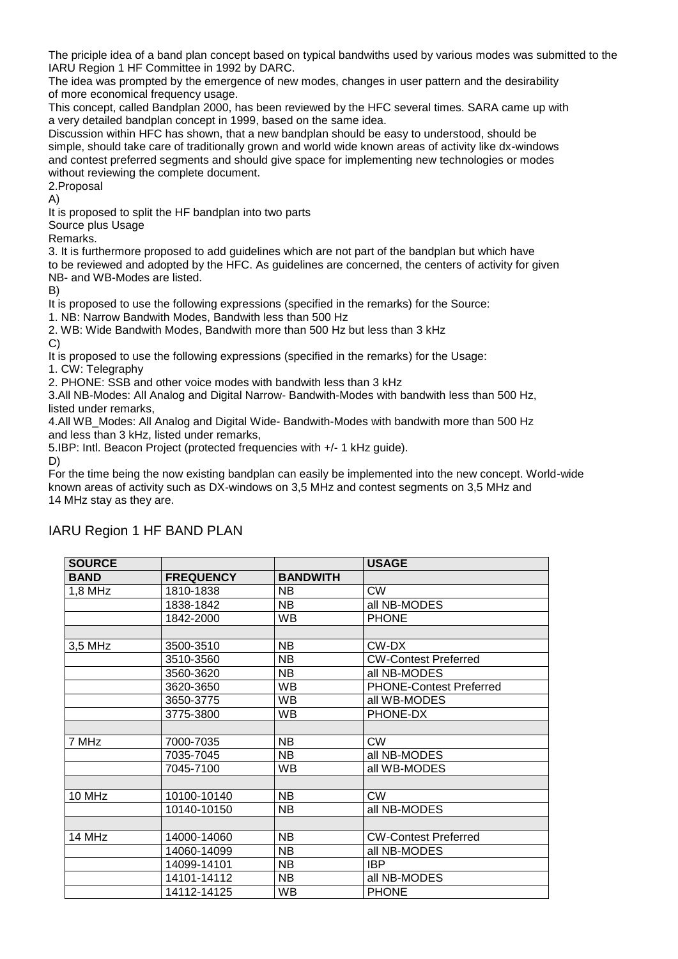The priciple idea of a band plan concept based on typical bandwiths used by various modes was submitted to the IARU Region 1 HF Committee in 1992 by DARC.

The idea was prompted by the emergence of new modes, changes in user pattern and the desirability of more economical frequency usage.

This concept, called Bandplan 2000, has been reviewed by the HFC several times. SARA came up with a very detailed bandplan concept in 1999, based on the same idea.

Discussion within HFC has shown, that a new bandplan should be easy to understood, should be simple, should take care of traditionally grown and world wide known areas of activity like dx-windows and contest preferred segments and should give space for implementing new technologies or modes without reviewing the complete document.

2.Proposal

A)

It is proposed to split the HF bandplan into two parts

Source plus Usage

Remarks.

3. It is furthermore proposed to add guidelines which are not part of the bandplan but which have to be reviewed and adopted by the HFC. As guidelines are concerned, the centers of activity for given NB- and WB-Modes are listed.

B)

It is proposed to use the following expressions (specified in the remarks) for the Source:

1. NB: Narrow Bandwith Modes, Bandwith less than 500 Hz

2. WB: Wide Bandwith Modes, Bandwith more than 500 Hz but less than 3 kHz C)

It is proposed to use the following expressions (specified in the remarks) for the Usage:

1. CW: Telegraphy

2. PHONE: SSB and other voice modes with bandwith less than 3 kHz

3.All NB-Modes: All Analog and Digital Narrow- Bandwith-Modes with bandwith less than 500 Hz, listed under remarks,

4.All WB\_Modes: All Analog and Digital Wide- Bandwith-Modes with bandwith more than 500 Hz and less than 3 kHz, listed under remarks,

5.IBP: Intl. Beacon Project (protected frequencies with +/- 1 kHz guide).

D)

For the time being the now existing bandplan can easily be implemented into the new concept. World-wide known areas of activity such as DX-windows on 3,5 MHz and contest segments on 3,5 MHz and 14 MHz stay as they are.

| <b>SOURCE</b> |                  |                 | <b>USAGE</b>                   |
|---------------|------------------|-----------------|--------------------------------|
| <b>BAND</b>   | <b>FREQUENCY</b> | <b>BANDWITH</b> |                                |
| 1,8 MHz       | 1810-1838        | <b>NB</b>       | <b>CW</b>                      |
|               | 1838-1842        | <b>NB</b>       | all NB-MODES                   |
|               | 1842-2000        | <b>WB</b>       | <b>PHONE</b>                   |
|               |                  |                 |                                |
| 3,5 MHz       | 3500-3510        | <b>NB</b>       | CW-DX                          |
|               | 3510-3560        | <b>NB</b>       | <b>CW-Contest Preferred</b>    |
|               | 3560-3620        | <b>NB</b>       | all NB-MODES                   |
|               | 3620-3650        | WB              | <b>PHONE-Contest Preferred</b> |
|               | 3650-3775        | <b>WB</b>       | all WB-MODES                   |
|               | 3775-3800        | <b>WB</b>       | PHONE-DX                       |
|               |                  |                 |                                |
| 7 MHz         | 7000-7035        | <b>NB</b>       | <b>CW</b>                      |
|               | 7035-7045        | <b>NB</b>       | all NB-MODES                   |
|               | 7045-7100        | <b>WB</b>       | all WB-MODES                   |
|               |                  |                 |                                |
| 10 MHz        | 10100-10140      | <b>NB</b>       | <b>CW</b>                      |
|               | 10140-10150      | NB.             | all NB-MODES                   |
|               |                  |                 |                                |
| 14 MHz        | 14000-14060      | <b>NB</b>       | <b>CW-Contest Preferred</b>    |
|               | 14060-14099      | <b>NB</b>       | all NB-MODES                   |
|               | 14099-14101      | <b>NB</b>       | <b>IBP</b>                     |
|               | 14101-14112      | <b>NB</b>       | all NB-MODES                   |
|               | 14112-14125      | <b>WB</b>       | <b>PHONE</b>                   |

# IARU Region 1 HF BAND PLAN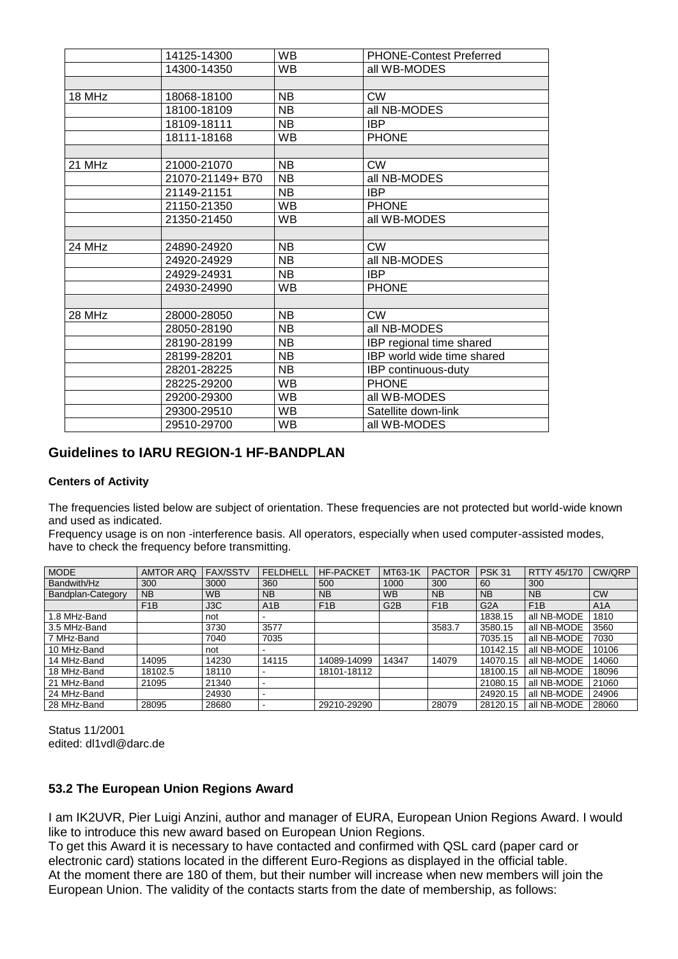|        | 14125-14300      | WB        | <b>PHONE-Contest Preferred</b> |
|--------|------------------|-----------|--------------------------------|
|        | 14300-14350      | <b>WB</b> | all WB-MODES                   |
|        |                  |           |                                |
| 18 MHz | 18068-18100      | <b>NB</b> | <b>CW</b>                      |
|        | 18100-18109      | <b>NB</b> | all NB-MODES                   |
|        | 18109-18111      | NB        | <b>IBP</b>                     |
|        | 18111-18168      | <b>WB</b> | <b>PHONE</b>                   |
|        |                  |           |                                |
| 21 MHz | 21000-21070      | <b>NB</b> | <b>CW</b>                      |
|        | 21070-21149+ B70 | NΒ        | all NB-MODES                   |
|        | 21149-21151      | <b>NB</b> | <b>IBP</b>                     |
|        | 21150-21350      | <b>WB</b> | <b>PHONE</b>                   |
|        | 21350-21450      | <b>WB</b> | all WB-MODES                   |
|        |                  |           |                                |
| 24 MHz | 24890-24920      | <b>NB</b> | <b>CW</b>                      |
|        | 24920-24929      | NΒ        | all NB-MODES                   |
|        | 24929-24931      | <b>NB</b> | <b>IBP</b>                     |
|        | 24930-24990      | WB        | <b>PHONE</b>                   |
|        |                  |           |                                |
| 28 MHz | 28000-28050      | <b>NB</b> | <b>CW</b>                      |
|        | 28050-28190      | <b>NB</b> | all NB-MODES                   |
|        | 28190-28199      | NB        | IBP regional time shared       |
|        | 28199-28201      | <b>NB</b> | IBP world wide time shared     |
|        | 28201-28225      | <b>NB</b> | IBP continuous-duty            |
|        | 28225-29200      | <b>WB</b> | <b>PHONE</b>                   |
|        | 29200-29300      | <b>WB</b> | all WB-MODES                   |
|        | 29300-29510      | WB        | Satellite down-link            |
|        | 29510-29700      | <b>WB</b> | all WB-MODES                   |
|        |                  |           |                                |

## **Guidelines to IARU REGION-1 HF-BANDPLAN**

#### **Centers of Activity**

The frequencies listed below are subject of orientation. These frequencies are not protected but world-wide known and used as indicated.

Frequency usage is on non -interference basis. All operators, especially when used computer-assisted modes, have to check the frequency before transmitting.

| <b>MODE</b>       | <b>AMTOR ARQ</b> | <b>FAX/SSTV</b> | <b>FELDHELL</b> | <b>HF-PACKET</b> | MT63-1K          | <b>PACTOR</b>    | <b>PSK 31</b>    | RTTY 45/170      | CW/QRP    |
|-------------------|------------------|-----------------|-----------------|------------------|------------------|------------------|------------------|------------------|-----------|
| Bandwith/Hz       | 300              | 3000            | 360             | 500              | 1000             | 300              | 60               | 300              |           |
| Bandplan-Category | <b>NB</b>        | <b>WB</b>       | <b>NB</b>       | <b>NB</b>        | <b>WB</b>        | <b>NB</b>        | <b>NB</b>        | <b>NB</b>        | <b>CW</b> |
|                   | F <sub>1</sub> B | J3C             | A1B             | F <sub>1</sub> B | G <sub>2</sub> B | F <sub>1</sub> B | G <sub>2</sub> A | F <sub>1</sub> B | A1A       |
| 1.8 MHz-Band      |                  | not             |                 |                  |                  |                  | 1838.15          | all NB-MODE      | 1810      |
| 3.5 MHz-Band      |                  | 3730            | 3577            |                  |                  | 3583.7           | 3580.15          | all NB-MODE      | 3560      |
| 7 MHz-Band        |                  | 7040            | 7035            |                  |                  |                  | 7035.15          | all NB-MODE      | 7030      |
| 10 MHz-Band       |                  | not             |                 |                  |                  |                  | 10142.15         | all NB-MODE      | 10106     |
| 14 MHz-Band       | 14095            | 14230           | 14115           | 14089-14099      | 14347            | 14079            | 14070.15         | all NB-MODE      | 14060     |
| 18 MHz-Band       | 18102.5          | 18110           |                 | 18101-18112      |                  |                  | 18100.15         | all NB-MODE      | 18096     |
| 21 MHz-Band       | 21095            | 21340           |                 |                  |                  |                  | 21080.15         | all NB-MODE      | 21060     |
| 24 MHz-Band       |                  | 24930           |                 |                  |                  |                  | 24920.15         | all NB-MODE      | 24906     |
| 28 MHz-Band       | 28095            | 28680           |                 | 29210-29290      |                  | 28079            | 28120.15         | all NB-MODE      | 28060     |

Status 11/2001 edited: dl1vdl@darc.de

### **53.2 The European Union Regions Award**

I am IK2UVR, Pier Luigi Anzini, author and manager of EURA, European Union Regions Award. I would like to introduce this new award based on European Union Regions.

To get this Award it is necessary to have contacted and confirmed with QSL card (paper card or electronic card) stations located in the different Euro-Regions as displayed in the official table. At the moment there are 180 of them, but their number will increase when new members will join the European Union. The validity of the contacts starts from the date of membership, as follows: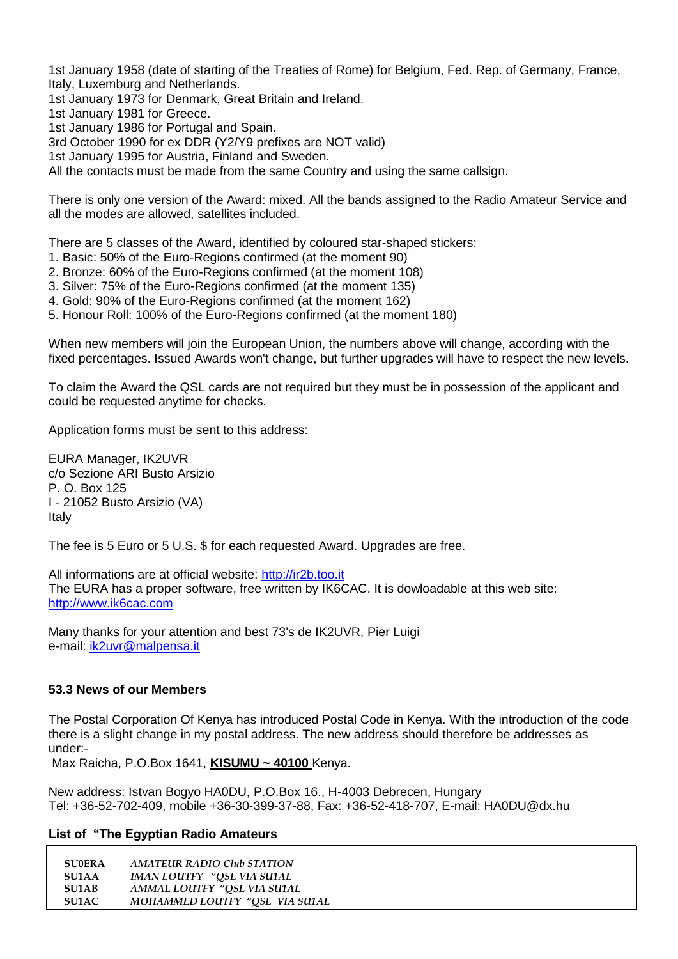1st January 1958 (date of starting of the Treaties of Rome) for Belgium, Fed. Rep. of Germany, France, Italy, Luxemburg and Netherlands.

1st January 1973 for Denmark, Great Britain and Ireland.

1st January 1981 for Greece.

1st January 1986 for Portugal and Spain.

3rd October 1990 for ex DDR (Y2/Y9 prefixes are NOT valid)

1st January 1995 for Austria, Finland and Sweden.

All the contacts must be made from the same Country and using the same callsign.

There is only one version of the Award: mixed. All the bands assigned to the Radio Amateur Service and all the modes are allowed, satellites included.

There are 5 classes of the Award, identified by coloured star-shaped stickers:

- 1. Basic: 50% of the Euro-Regions confirmed (at the moment 90)
- 2. Bronze: 60% of the Euro-Regions confirmed (at the moment 108)
- 3. Silver: 75% of the Euro-Regions confirmed (at the moment 135)
- 4. Gold: 90% of the Euro-Regions confirmed (at the moment 162)
- 5. Honour Roll: 100% of the Euro-Regions confirmed (at the moment 180)

When new members will join the European Union, the numbers above will change, according with the fixed percentages. Issued Awards won't change, but further upgrades will have to respect the new levels.

To claim the Award the QSL cards are not required but they must be in possession of the applicant and could be requested anytime for checks.

Application forms must be sent to this address:

EURA Manager, IK2UVR c/o Sezione ARI Busto Arsizio P. O. Box 125 I - 21052 Busto Arsizio (VA) Italy

The fee is 5 Euro or 5 U.S. \$ for each requested Award. Upgrades are free.

All informations are at official website: [http://ir2b.too.it](http://ir2b.too.it/) The EURA has a proper software, free written by IK6CAC. It is dowloadable at this web site: [http://www.ik6cac.com](http://www.ik6cac.com/)

Many thanks for your attention and best 73's de IK2UVR, Pier Luigi e-mail: [ik2uvr@malpensa.it](mailto:ik2uvr@malpensa.it)

### **53.3 News of our Members**

The Postal Corporation Of Kenya has introduced Postal Code in Kenya. With the introduction of the code there is a slight change in my postal address. The new address should therefore be addresses as under:-

Max Raicha, P.O.Box 1641, **KISUMU ~ 40100** Kenya.

New address: Istvan Bogyo HA0DU, P.O.Box 16., H-4003 Debrecen, Hungary Tel: +36-52-702-409, mobile +36-30-399-37-88, Fax: +36-52-418-707, E-mail: HA0DU@dx.hu

#### **List of "The Egyptian Radio Amateurs**

| <b>SU0ERA</b> | <b>AMATEUR RADIO Club STATION</b> |
|---------------|-----------------------------------|
| <b>SU1AA</b>  | IMAN LOUTFY "OSL VIA SU1AL        |
| <b>SU1AB</b>  | AMMAL LOUTFY "OSL VIA SU1AL       |
| SU1AC.        | MOHAMMED LOUTFY "OSL VIA SU1AL    |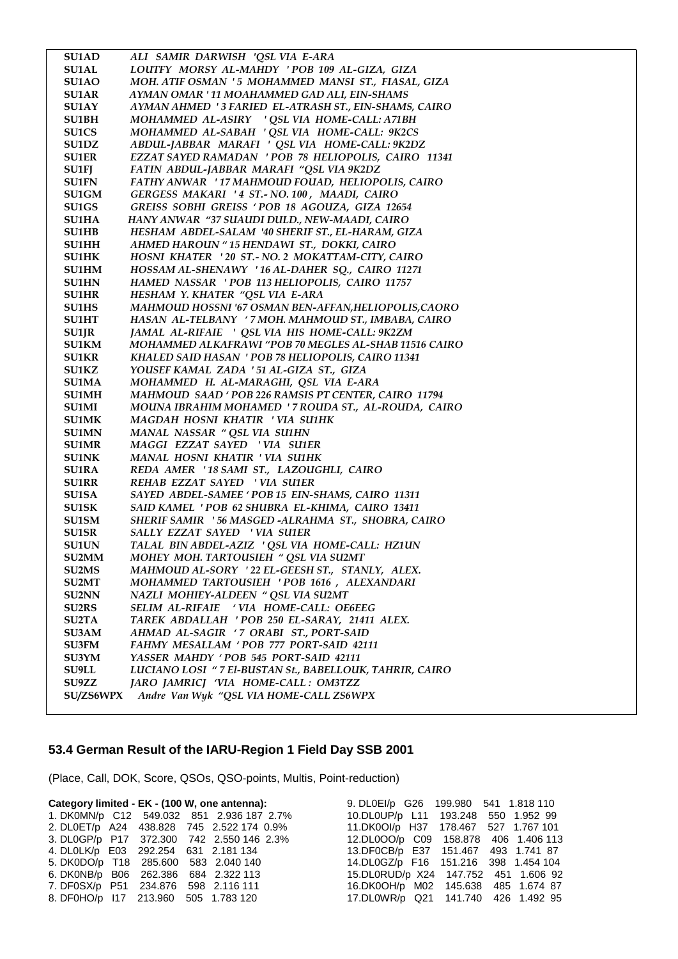| <b>SU1AD</b> | ALI SAMIR DARWISH 'QSL VIA E-ARA                        |
|--------------|---------------------------------------------------------|
| <b>SU1AL</b> | LOUTFY MORSY AL-MAHDY 'POB 109 AL-GIZA, GIZA            |
| SU1AO        | MOH. ATIF OSMAN '5 MOHAMMED MANSI ST., FIASAL, GIZA     |
| <b>SU1AR</b> | AYMAN OMAR ' 11 MOAHAMMED GAD ALI, EIN-SHAMS            |
| SU1AY        | AYMAN AHMED '3 FARIED EL-ATRASH ST., EIN-SHAMS, CAIRO   |
| SU1BH        | MOHAMMED AL-ASIRY ' QSL VIA HOME-CALL: A71BH            |
| <b>SU1CS</b> | MOHAMMED AL-SABAH ' QSL VIA HOME-CALL: 9K2CS            |
| SU1DZ        | ABDUL-JABBAR MARAFI ' QSL VIA HOME-CALL: 9K2DZ          |
| <b>SU1ER</b> | EZZAT SAYED RAMADAN ' POB 78 HELIOPOLIS, CAIRO 11341    |
| <b>SU1FJ</b> | FATIN ABDUL-JABBAR MARAFI "QSL VIA 9K2DZ                |
| <b>SU1FN</b> | FATHY ANWAR '17 MAHMOUD FOUAD, HELIOPOLIS, CAIRO        |
| <b>SU1GM</b> | GERGESS MAKARI '4 ST.- NO. 100, MAADI, CAIRO            |
| <b>SU1GS</b> | GREISS SOBHI GREISS ' POB 18 AGOUZA, GIZA 12654         |
| <b>SU1HA</b> | HANY ANWAR "37 SUAUDI DULD., NEW-MAADI, CAIRO           |
| <b>SU1HB</b> | HESHAM ABDEL-SALAM '40 SHERIF ST., EL-HARAM, GIZA       |
| <b>SU1HH</b> | AHMED HAROUN "15 HENDAWI ST., DOKKI, CAIRO              |
| <b>SU1HK</b> | HOSNI KHATER '20 ST.- NO. 2 MOKATTAM-CITY, CAIRO        |
| <b>SU1HM</b> | HOSSAM AL-SHENAWY '16 AL-DAHER SQ., CAIRO 11271         |
| <b>SU1HN</b> | HAMED NASSAR 'POB 113 HELIOPOLIS, CAIRO 11757           |
| <b>SU1HR</b> | HESHAM Y. KHATER "QSL VIA E-ARA                         |
| <b>SU1HS</b> | MAHMOUD HOSSNI '67 OSMAN BEN-AFFAN, HELIOPOLIS, CAORO   |
| <b>SU1HT</b> | HASAN AL-TELBANY '7 MOH. MAHMOUD ST., IMBABA, CAIRO     |
| <b>SU1JR</b> | JAMAL AL-RIFAIE ' OSL VIA HIS HOME-CALL: 9K2ZM          |
| <b>SU1KM</b> | MOHAMMED ALKAFRAWI "POB 70 MEGLES AL-SHAB 11516 CAIRO   |
| <b>SU1KR</b> | KHALED SAID HASAN ' POB 78 HELIOPOLIS, CAIRO 11341      |
| <b>SU1KZ</b> | YOUSEF KAMAL ZADA '51 AL-GIZA ST., GIZA                 |
| <b>SU1MA</b> | MOHAMMED H. AL-MARAGHI, QSL VIA E-ARA                   |
| <b>SU1MH</b> | MAHMOUD SAAD ' POB 226 RAMSIS PT CENTER, CAIRO 11794    |
| <b>SU1MI</b> | MOUNA IBRAHIM MOHAMED ' 7 ROUDA ST., AL-ROUDA, CAIRO    |
| <b>SU1MK</b> | MAGDAH HOSNI KHATIR 'VIA SU1HK                          |
| <b>SU1MN</b> | MANAL NASSAR " QSL VIA SU1HN                            |
| <b>SU1MR</b> | MAGGI EZZAT SAYED 'VIA SU1ER                            |
| <b>SU1NK</b> | MANAL HOSNI KHATIR ' VIA SU1HK                          |
| <b>SU1RA</b> | REDA AMER '18 SAMI ST., LAZOUGHLI, CAIRO                |
| <b>SU1RR</b> | REHAB EZZAT SAYED ' VIA SU1ER                           |
| <b>SU1SA</b> | SAYED ABDEL-SAMEE ' POB 15 EIN-SHAMS, CAIRO 11311       |
| <b>SU1SK</b> | SAID KAMEL ' POB 62 SHUBRA EL-KHIMA, CAIRO 13411        |
| <b>SU1SM</b> | SHERIF SAMIR '56 MASGED -ALRAHMA ST., SHOBRA, CAIRO     |
| <b>SU1SR</b> | SALLY EZZAT SAYED ' VIA SU1ER                           |
| <b>SU1UN</b> | TALAL BIN ABDEL-AZIZ ' QSL VIA HOME-CALL: HZ1UN         |
| <b>SU2MM</b> | MOHEY MOH. TARTOUSIEH " QSL VIA SU2MT                   |
| <b>SU2MS</b> | MAHMOUD AL-SORY '22 EL-GEESH ST., STANLY, ALEX.         |
| <b>SU2MT</b> | MOHAMMED TARTOUSIEH 'POB 1616, ALEXANDARI               |
| <b>SU2NN</b> | NAZLI MOHIEY-ALDEEN " QSL VIA SU2MT                     |
| <b>SU2RS</b> | SELIM AL-RIFAIE 'VIA HOME-CALL: OE6EEG                  |
| <b>SU2TA</b> | TAREK ABDALLAH 'POB 250 EL-SARAY, 21411 ALEX.           |
| <b>SU3AM</b> | AHMAD AL-SAGIR '7 ORABI ST., PORT-SAID                  |
| <b>SU3FM</b> | FAHMY MESALLAM ' POB 777 PORT-SAID 42111                |
| <b>SU3YM</b> | YASSER MAHDY 'POB 545 PORT-SAID 42111                   |
| <b>SU9LL</b> | LUCIANO LOSI "7 El-BUSTAN St., BABELLOUK, TAHRIR, CAIRO |
| <b>SU9ZZ</b> | JARO JAMRICJ 'VIA HOME-CALL : OM3TZZ                    |
| SU/ZS6WPX    | Andre Van Wyk "QSL VIA HOME-CALL ZS6WPX                 |
|              |                                                         |

# **53.4 German Result of the IARU-Region 1 Field Day SSB 2001**

(Place, Call, DOK, Score, QSOs, QSO-points, Multis, Point-reduction)

| Category limited - EK - (100 W, one antenna): |  |                                           | 9. DL0EI/p G26 199.980 541 1.818 110     |  |  |
|-----------------------------------------------|--|-------------------------------------------|------------------------------------------|--|--|
|                                               |  | 1. DK0MN/p C12 549.032 851 2.936 187 2.7% | 10.DL0UP/p L11 193.248 550 1.952 99      |  |  |
|                                               |  | 2. DLOET/p A24 438.828 745 2.522 174 0.9% | 11.DK0Ol/p H37 178.467 527 1.767 101     |  |  |
|                                               |  | 3. DL0GP/p P17 372.300 742 2.550 146 2.3% | 12.DL0OO/p C09 158.878 406 1.406 113     |  |  |
| 4. DL0LK/p E03 292.254 631 2.181 134          |  |                                           | 13.DF0CB/p E37 151.467 493 1.741 87      |  |  |
| 5. DK0DO/p T18 285.600 583 2.040 140          |  |                                           | 14.DL0GZ/p F16 151.216 398 1.454 104     |  |  |
| 6. DK0NB/p B06 262.386 684 2.322 113          |  |                                           | 15.DL0RUD/p X24  147.752  451  1.606  92 |  |  |
| 7. DF0SX/p P51 234.876 598 2.116 111          |  |                                           | 16.DK0OH/p M02 145.638 485 1.674 87      |  |  |
| 8. DF0HO/p 117 213.960 505 1.783 120          |  |                                           | 17.DL0WR/p Q21 141.740 426 1.492 95      |  |  |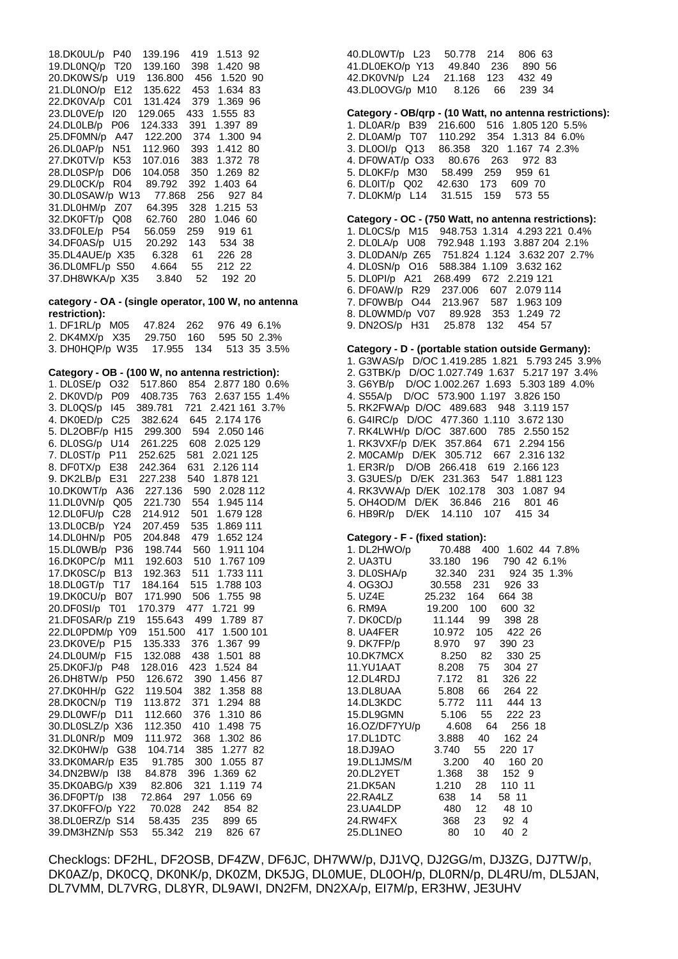18.DK0UL/p P40 139.196 419 1.513 92 19.DL0NQ/p T20 139.160 398 1.420 98 20.DK0WS/p U19 136.800 456 1.520 90 21.DL0NO/p E12 135.622 453 1.634 83 22.DK0VA/p C01 131.424 379 1.369 96 23.DL0VE/p I20 129.065 433 1.555 83 24.DL0LB/p P06 124.333 391 1.397 89 25.DF0MN/p A47 122.200 374 1.300 94 26.DL0AP/p N51 112.960 393 1.412 80 107.016 383 1.372 78<br>104.058 350 1.269 82 28.DL0SP/p D06 104.058 350 1.269 82 29.DL0CK/p R04 30.DL0SAW/p W13 77.868 256 927 84 64.395 328 1.215 53 32.DK0FT/p Q08 62.760 280 1.046 60 33.DF0LE/p P54 56.059 259 919 61 34.DF0AS/p U15 35.DL4AUE/p X35 6.328 61 226 28 36.DL0MFL/p S50 4.664 55 212 22 37.DH8WKA/p X35

**category - OA - (single operator, 100 W, no antenna restriction):**

| 1. DF1RL/p M05 47.824 262 976 49 6.1%  |  |  |  |
|----------------------------------------|--|--|--|
| 2. DK4MX/p X35 29.750 160 595 50 2.3%  |  |  |  |
| 3. DH0HQP/p W35 17.955 134 513 35 3.5% |  |  |  |

# **Category - OB - (100 W, no antenna restriction):**

| 854 2.877 180 0.6%<br>1. DL0SE/p<br>O32<br>517.860                                                                   |
|----------------------------------------------------------------------------------------------------------------------|
| 2. DK0VD/p P09<br>2.637 155 1.4%<br>408.735<br>763                                                                   |
| 3. DL0QS/p 145<br>721<br>2.421 161 3.7%<br>389.781                                                                   |
| 4. DK0ED/p C25 382.624<br>645<br>2.174 176                                                                           |
| 5. DL2OBF/p H15 299.300<br>594<br>2.050 146                                                                          |
| 6. DL0SG/p U14 261.225<br>608 2.025 129                                                                              |
| 7. DL0ST/p P11<br>581 2.021 125<br>252.625                                                                           |
| 631<br>2.126 114<br>8. DF0TX/p E38<br>242.364                                                                        |
| 9. DK2LB/p E31<br>540 1.878 121<br>227.238                                                                           |
| 10.DK0WT/p<br>A36 227.136<br>590<br>2.028 112                                                                        |
| 554 1.945 114<br>11.DL0VN/p Q05 221.730                                                                              |
| 12.DL0FU/p C28 214.912 501 1.679 128<br>13.DL0CB/p Y24 207.459 535 1.869 111<br>14.DL0HN/p P05 204.848 479 1.652 124 |
|                                                                                                                      |
|                                                                                                                      |
| 15. DL0WB/p P36 198.744 560 1.911 104<br>16. DL0WB/p P36 198.744 560 1.911 104                                       |
|                                                                                                                      |
| 17.DK0SC/p B13 192.363 511 1.733 111                                                                                 |
| 18.DL0GT/p T17 184.164 515 1.788 103                                                                                 |
| 19.DK0CU/p B07 171.990<br>506 1.755 98                                                                               |
| 20.DF0SI/p T01 170.379<br>477 1.721 99                                                                               |
| 21.DF0SAR/p Z19<br>155.643<br>499<br>1.789 87                                                                        |
| 22.DL0PDM/p Y09 151.500 417<br>1.500 101                                                                             |
| 23.DK0VE/p P15 135.333 376 1.367 99                                                                                  |
| 24.DL0UM/p F15 132.088<br>438 1.501 88                                                                               |
| 25.DK0FJ/p<br>423<br>1.524 84<br>P48 128.016                                                                         |
| 390 1.456 87                                                                                                         |
| 26.DH8TW/p P50 126.672<br>27.DK0HH/p G22 119.504<br>382 1.358 88                                                     |
| 28.DK0CN/p T19<br>113.872<br>371<br>1.294 88                                                                         |
| 29.DL0WF/p D11<br>112.660 376 1.310 86                                                                               |
| 30.DL0SLZ/p X36<br>112.350 410<br>1.498 75                                                                           |
| 31.DL0NR/p M09 111.972<br>368<br>1.302 86                                                                            |
| 32.DK0HW/p G38 104.714<br>385 1.277 82                                                                               |
| 33.DK0MAR/p E35 91.785<br>300 1.055 87                                                                               |
| 34.DN2BW/p I38 84.878 396 1.369 62                                                                                   |
| 35.DK0ABG/p X39<br>82.806<br>321<br>1.119 74                                                                         |
| 36.DF0PT/p 138<br>72.864<br>297 1.056 69                                                                             |
| 70.028<br>242<br>854 82                                                                                              |
| 37.DK0FFO/p Y22<br>38.DL0ERZ/p S14<br>235<br>58.435<br>899 65                                                        |
| 39.DM3HZN/p S53<br>55.342<br>219<br>826<br>67                                                                        |
|                                                                                                                      |

40.DL0WT/p L23 50.778 214 806 63 41.DL0EKO/p Y13 49.840 236<br>42.DK0VN/p L24 21.168 123 42.DK0VN/p L24 21.168 123 432 49 43.DL0OVG/p M10 8.126 66 239 34

#### **Category - OB/qrp - (10 Watt, no antenna restrictions):**

1. DL0AR/p B39 216.600 516 1.805 120 5.5% 2. DL0AM/p T07 110.292 354 1.313 84 6.0% 86.358 320 1.167 74 2.3% 4. DF0WAT/p O33 80.676 263 972 83 5. DL0KF/p M30 58.499 259 959 61 6. DL0IT/p Q02 42.630 173 609 70 7. DL0KM/p L14 31.515 159 573 55

**Category - OC - (750 Watt, no antenna restrictions):** 1. DL0CS/p M15 948.753 1.314 4.293 221 0.4% 2. DL0LA/p U08 792.948 1.193 3.887 204 2.1% 3. DL0DAN/p Z65 751.824 1.124 3.632 207 2.7% 4. DL0SN/p O16 588.384 1.109 3.632 162 5. DL0PI/p A21 268.499 672 2.219 121 6. DF0AW/p R29 237.006 607 2.079 114 7. DF0WB/p O44 213.967 587 1.963 109 8. DL0WMD/p V07 89.928 353 1.249 72 9. DN2OS/p H31 25.878 132 454 57

#### **Category - D - (portable station outside Germany):**

1. G3WAS/p D/OC 1.419.285 1.821 5.793 245 3.9% 2. G3TBK/p D/OC 1.027.749 1.637 5.217 197 3.4% 3. G6YB/p D/OC 1.002.267 1.693 5.303 189 4.0% 4. S55A/p D/OC 573.900 1.197 3.826 150 5. RK2FWA/p D/OC 489.683 948 3.119 157 6. G4IRC/p D/OC 477.360 1.110 3.672 130 7. RK4LWH/p D/OC 387.600 785 2.550 152 1. RK3VXF/p D/EK 357.864 671 2.294 156 2. M0CAM/p D/EK 305.712 667 2.316 132 1. ER3R/p D/OB 266.418 619 2.166 123 3. G3UES/p D/EK 231.363 547 1.881 123 4. RK3VWA/p D/EK 102.178 303 1.087 94 5. OH4OD/M D/EK 36.846 216 801 46 6. HB9R/p D/EK 14.110 107 415 34

#### **Category - F - (fixed station):**

| 1. DL2HWO/p 70.488 400 1.602 44 7.8%                                                                                                                                                                                                                                                             |  |          |  |
|--------------------------------------------------------------------------------------------------------------------------------------------------------------------------------------------------------------------------------------------------------------------------------------------------|--|----------|--|
| 2. UA3TU<br>2. UA3TU<br>3. DL0SHA/p<br>3. DL0SHA/p<br>3. OC3OJ<br>3. OC3OJ<br>3. OC3OJ<br>3. OC58 231<br>3. OC4E<br>25.232<br>164<br>664<br>38<br>88<br>8926<br>83<br>8926<br>83<br>8926<br>83<br>8926<br>83<br>8926<br>83<br>8926<br>83<br>8926<br>83<br>8926<br>83<br>8926<br>83<br>8926<br>83 |  |          |  |
|                                                                                                                                                                                                                                                                                                  |  |          |  |
|                                                                                                                                                                                                                                                                                                  |  |          |  |
|                                                                                                                                                                                                                                                                                                  |  |          |  |
|                                                                                                                                                                                                                                                                                                  |  |          |  |
| 7. DK0CD/p  11.144  99  398  28                                                                                                                                                                                                                                                                  |  |          |  |
|                                                                                                                                                                                                                                                                                                  |  |          |  |
| 9. DK7FP/p 8.970 97 390 23                                                                                                                                                                                                                                                                       |  |          |  |
| 10.DK7MCX 8.250 82 330 25                                                                                                                                                                                                                                                                        |  |          |  |
| 11.YU1AAT 8.208 75 304 27                                                                                                                                                                                                                                                                        |  |          |  |
| 12.DL4RDJ 7.172 81 326 22                                                                                                                                                                                                                                                                        |  |          |  |
| 13.DL8UAA 5.808 66 264 22                                                                                                                                                                                                                                                                        |  |          |  |
| 14.DL3KDC 5.772 111 444 13                                                                                                                                                                                                                                                                       |  |          |  |
|                                                                                                                                                                                                                                                                                                  |  |          |  |
|                                                                                                                                                                                                                                                                                                  |  |          |  |
|                                                                                                                                                                                                                                                                                                  |  |          |  |
| 15.DL9GMN 5.106 55 222 23<br>16.OZ/DF7YU/p 4.608 64 256 18<br>17.DL1DTC 3.888 40 162 24<br>18.DJ9AO 3.740 55 220 17                                                                                                                                                                              |  |          |  |
| 19.DL1JMS/M 3.200 40 160 20                                                                                                                                                                                                                                                                      |  |          |  |
|                                                                                                                                                                                                                                                                                                  |  |          |  |
| 21.DK5AN   1.210   28   110   11                                                                                                                                                                                                                                                                 |  |          |  |
| 22.RA4LZ 638                                                                                                                                                                                                                                                                                     |  | 14 58 11 |  |
| 23.UA4LDP 480 12 48 10                                                                                                                                                                                                                                                                           |  |          |  |
|                                                                                                                                                                                                                                                                                                  |  |          |  |
|                                                                                                                                                                                                                                                                                                  |  |          |  |
|                                                                                                                                                                                                                                                                                                  |  |          |  |

Checklogs: DF2HL, DF2OSB, DF4ZW, DF6JC, DH7WW/p, DJ1VQ, DJ2GG/m, DJ3ZG, DJ7TW/p, DK0AZ/p, DK0CQ, DK0NK/p, DK0ZM, DK5JG, DL0MUE, DL0OH/p, DL0RN/p, DL4RU/m, DL5JAN, DL7VMM, DL7VRG, DL8YR, DL9AWI, DN2FM, DN2XA/p, EI7M/p, ER3HW, JE3UHV